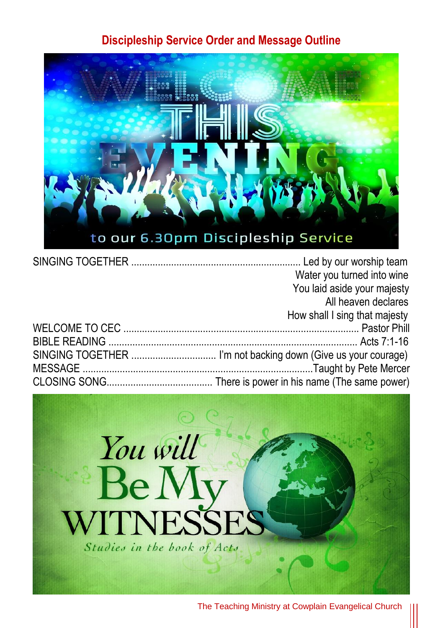## **Discipleship Service Order and Message Outline**



| Water you turned into wine    |
|-------------------------------|
| You laid aside your majesty   |
| All heaven declares           |
| How shall I sing that majesty |
|                               |
|                               |
|                               |
|                               |
|                               |

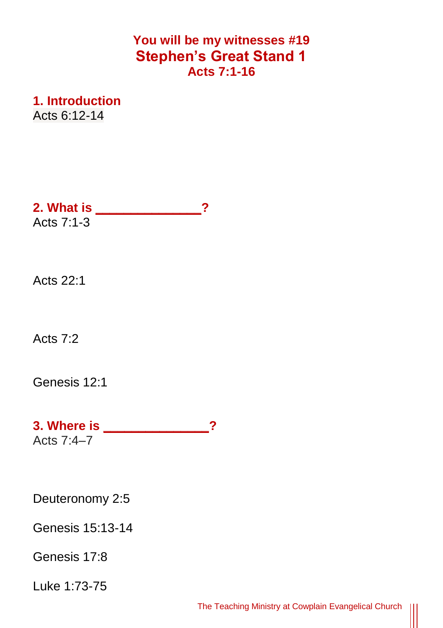## **You will be my witnesses #19 Stephen's Great Stand 1 Acts 7:1-16**

**1. Introduction** Acts 6:12-14

**2. What is \_\_\_\_\_\_\_\_\_\_\_\_\_\_\_?** Acts 7:1-3

Acts 22:1

Acts 7:2

[Genesis 12:1](https://www.biblegateway.com/passage/?search=Genesis+12:1&version=NIVUK)

**3. Where is \_\_\_\_\_\_\_\_\_\_\_\_\_\_\_?** Acts 7:4–7

Deuteronomy 2:5

Genesis 15:13-14

Genesis 17:8

Luke 1:73-75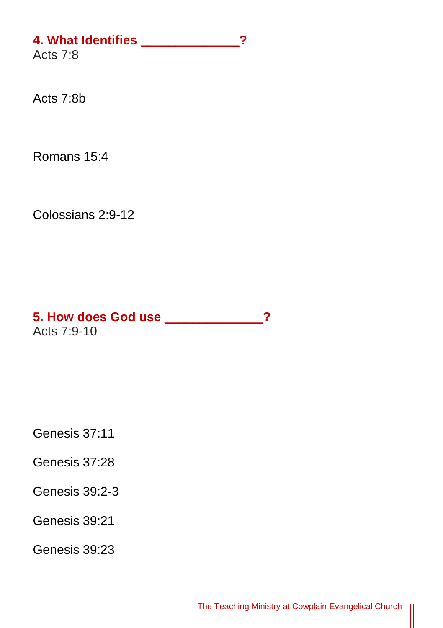## **4. What Identifies \_\_\_\_\_\_\_\_\_\_\_\_\_\_?**

Acts 7:8

Acts 7:8b

Romans 15:4

Colossians 2:9-12

**5. How does God use \_\_\_\_\_\_\_\_\_\_\_\_\_\_?** Acts 7:9-10

Genesis 37:11

Genesis 37:28

Genesis 39:2-3

Genesis 39:21

Genesis 39:23

 $\parallel$